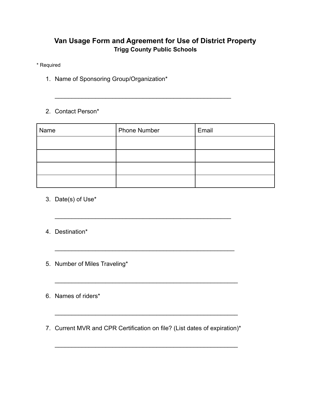## **Van Usage Form and Agreement for Use of District Property Trigg County Public Schools**

 $\mathcal{L}_\text{max}$  , and the contract of the contract of the contract of the contract of the contract of the contract of the contract of the contract of the contract of the contract of the contract of the contract of the contr

\* Required

- 1. Name of Sponsoring Group/Organization\*
- 2. Contact Person\*

| Name | <b>Phone Number</b> | Email |
|------|---------------------|-------|
|      |                     |       |
|      |                     |       |
|      |                     |       |
|      |                     |       |

- 3. Date(s) of Use\*
- 4. Destination\*
- 5. Number of Miles Traveling\*
- 6. Names of riders\*
- 7. Current MVR and CPR Certification on file? (List dates of expiration)\*

 $\mathcal{L}_\text{max}$  and  $\mathcal{L}_\text{max}$  and  $\mathcal{L}_\text{max}$  and  $\mathcal{L}_\text{max}$  and  $\mathcal{L}_\text{max}$ 

 $\mathcal{L}_\text{max} = \mathcal{L}_\text{max} = \mathcal{L}_\text{max} = \mathcal{L}_\text{max} = \mathcal{L}_\text{max} = \mathcal{L}_\text{max} = \mathcal{L}_\text{max} = \mathcal{L}_\text{max} = \mathcal{L}_\text{max} = \mathcal{L}_\text{max} = \mathcal{L}_\text{max} = \mathcal{L}_\text{max} = \mathcal{L}_\text{max} = \mathcal{L}_\text{max} = \mathcal{L}_\text{max} = \mathcal{L}_\text{max} = \mathcal{L}_\text{max} = \mathcal{L}_\text{max} = \mathcal{$ 

 $\mathcal{L}_\text{max}$  , and the contract of the contract of the contract of the contract of the contract of the contract of the contract of the contract of the contract of the contract of the contract of the contract of the contr